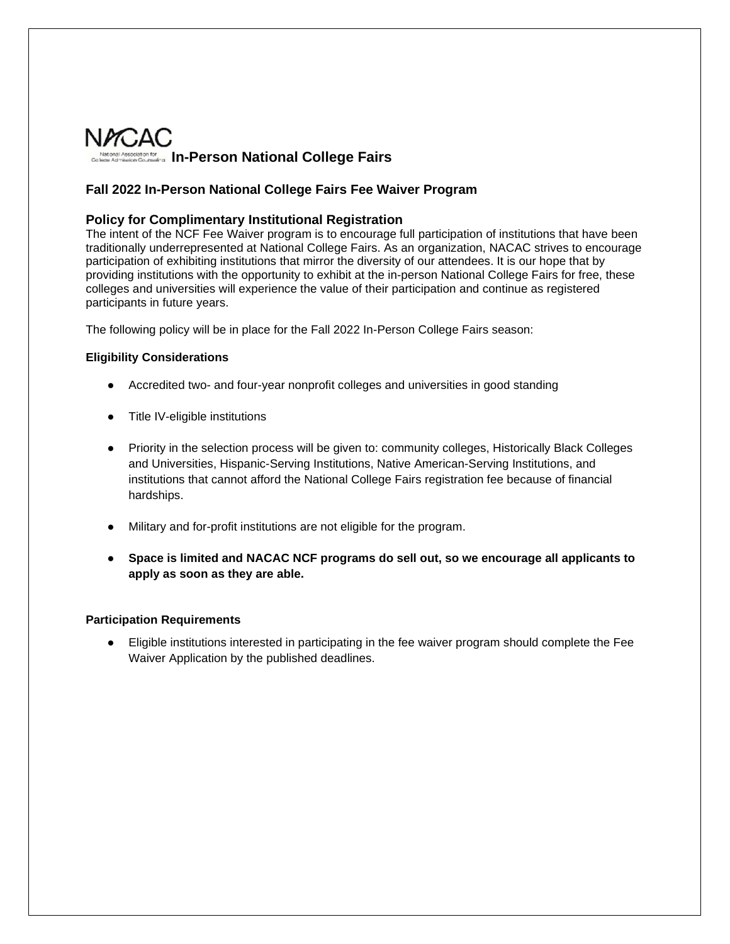

## **Fall 2022 In-Person National College Fairs Fee Waiver Program**

## **Policy for Complimentary Institutional Registration**

The intent of the NCF Fee Waiver program is to encourage full participation of institutions that have been traditionally underrepresented at National College Fairs. As an organization, NACAC strives to encourage participation of exhibiting institutions that mirror the diversity of our attendees. It is our hope that by providing institutions with the opportunity to exhibit at the in-person National College Fairs for free, these colleges and universities will experience the value of their participation and continue as registered participants in future years.

The following policy will be in place for the Fall 2022 In-Person College Fairs season:

## **Eligibility Considerations**

- Accredited two- and four-year nonprofit colleges and universities in good standing
- Title IV-eligible institutions
- Priority in the selection process will be given to: community colleges, Historically Black Colleges and Universities, Hispanic-Serving Institutions, Native American-Serving Institutions, and institutions that cannot afford the National College Fairs registration fee because of financial hardships.
- Military and for-profit institutions are not eligible for the program.
- **Space is limited and NACAC NCF programs do sell out, so we encourage all applicants to apply as soon as they are able.**

## **Participation Requirements**

● Eligible institutions interested in participating in the fee waiver program should complete the Fee Waiver Application by the published deadlines.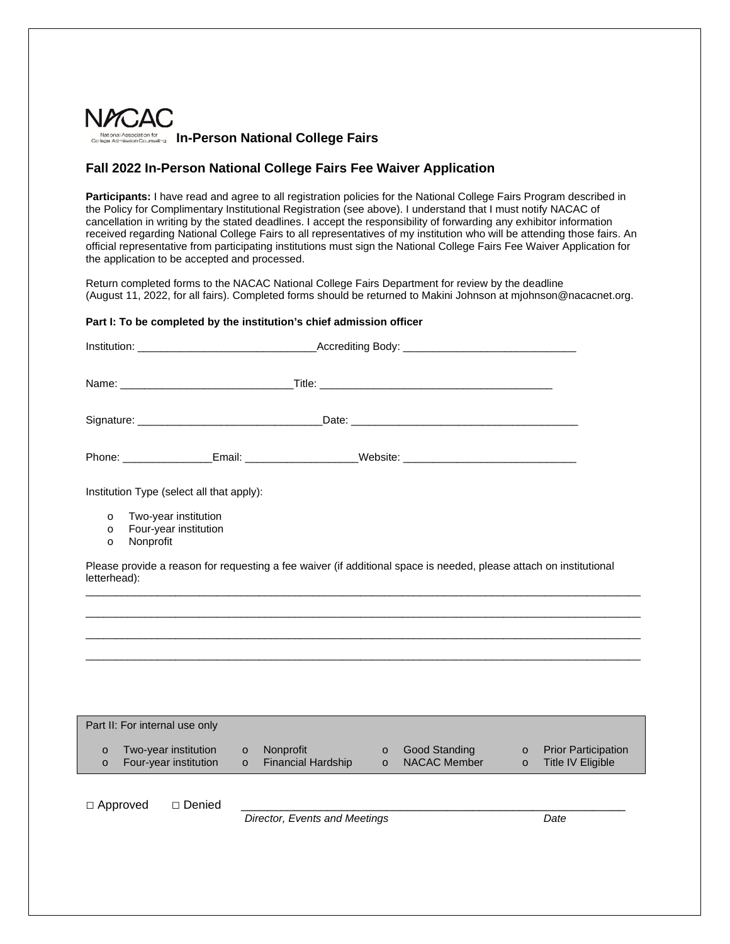

## **Fall 2022 In-Person National College Fairs Fee Waiver Application**

Participants: I have read and agree to all registration policies for the National College Fairs Program described in the Policy for Complimentary Institutional Registration (see above). I understand that I must notify NACAC of cancellation in writing by the stated deadlines. I accept the responsibility of forwarding any exhibitor information received regarding National College Fairs to all representatives of my institution who will be attending those fairs. An official representative from participating institutions must sign the National College Fairs Fee Waiver Application for the application to be accepted and processed.

Return completed forms to the NACAC National College Fairs Department for review by the deadline (August 11, 2022, for all fairs). Completed forms should be returned to Makini Johnson at mjohnson@nacacnet.org.

## **Part I: To be completed by the institution's chief admission officer**

| <b>Institution:</b> the contract of the contract of the contract of the contract of the contract of the contract of the contract of the contract of the contract of the contract of the contract of the contract of the contract of |                                                            |                    |                                                                                                     |                               |                                      |                    |                                                        |  |  |  |
|-------------------------------------------------------------------------------------------------------------------------------------------------------------------------------------------------------------------------------------|------------------------------------------------------------|--------------------|-----------------------------------------------------------------------------------------------------|-------------------------------|--------------------------------------|--------------------|--------------------------------------------------------|--|--|--|
|                                                                                                                                                                                                                                     |                                                            |                    |                                                                                                     |                               |                                      |                    |                                                        |  |  |  |
|                                                                                                                                                                                                                                     |                                                            |                    |                                                                                                     |                               |                                      |                    |                                                        |  |  |  |
|                                                                                                                                                                                                                                     |                                                            |                    | Phone: __________________Email: _______________________Website: ___________________________________ |                               |                                      |                    |                                                        |  |  |  |
| Institution Type (select all that apply):                                                                                                                                                                                           |                                                            |                    |                                                                                                     |                               |                                      |                    |                                                        |  |  |  |
| $\circ$<br>$\circ$<br>$\circ$                                                                                                                                                                                                       | Two-year institution<br>Four-year institution<br>Nonprofit |                    |                                                                                                     |                               |                                      |                    |                                                        |  |  |  |
| Please provide a reason for requesting a fee waiver (if additional space is needed, please attach on institutional<br>letterhead):                                                                                                  |                                                            |                    |                                                                                                     |                               |                                      |                    |                                                        |  |  |  |
|                                                                                                                                                                                                                                     |                                                            |                    |                                                                                                     |                               |                                      |                    |                                                        |  |  |  |
|                                                                                                                                                                                                                                     |                                                            |                    |                                                                                                     |                               |                                      |                    |                                                        |  |  |  |
|                                                                                                                                                                                                                                     |                                                            |                    |                                                                                                     |                               |                                      |                    |                                                        |  |  |  |
|                                                                                                                                                                                                                                     |                                                            |                    |                                                                                                     |                               |                                      |                    |                                                        |  |  |  |
| Part II: For internal use only                                                                                                                                                                                                      |                                                            |                    |                                                                                                     |                               |                                      |                    |                                                        |  |  |  |
| $\circ$<br>$\circ$                                                                                                                                                                                                                  | Two-year institution<br>Four-year institution              | $\circ$<br>$\circ$ | Nonprofit<br><b>Financial Hardship</b>                                                              | $\circ$<br>$\circ$            | <b>Good Standing</b><br>NACAC Member | $\circ$<br>$\circ$ | <b>Prior Participation</b><br><b>Title IV Eligible</b> |  |  |  |
| $\Box$ Approved                                                                                                                                                                                                                     | □ Denied                                                   |                    |                                                                                                     |                               |                                      |                    |                                                        |  |  |  |
|                                                                                                                                                                                                                                     |                                                            |                    |                                                                                                     | Director, Events and Meetings |                                      |                    | Date                                                   |  |  |  |
|                                                                                                                                                                                                                                     |                                                            |                    |                                                                                                     |                               |                                      |                    |                                                        |  |  |  |